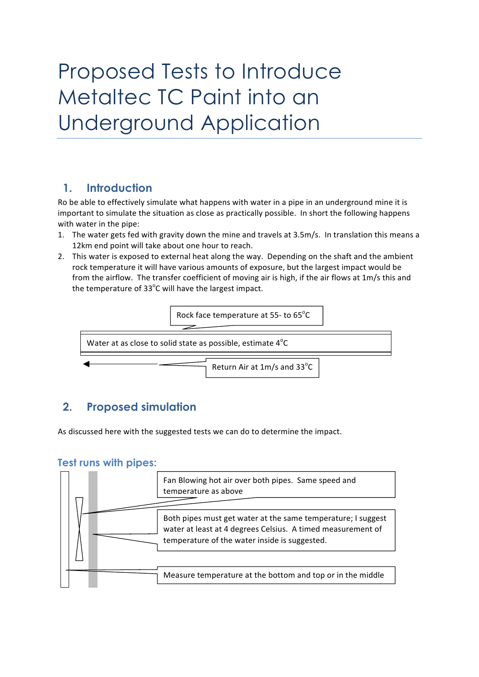# Proposed Tests to Introduce Metaltec TC Paint into an Underground Application

### **1. Introduction**

Ro be able to effectively simulate what happens with water in a pipe in an underground mine it is important to simulate the situation as close as practically possible. In short the following happens with water in the pipe:

- 1. The water gets fed with gravity down the mine and travels at 3.5m/s. In translation this means a 12km end point will take about one hour to reach.
- 2. This water is exposed to external heat along the way. Depending on the shaft and the ambient rock temperature it will have various amounts of exposure, but the largest impact would be from the airflow. The transfer coefficient of moving air is high, if the air flows at 1m/s this and the temperature of  $33^{\circ}$ C will have the largest impact.



## **2. Proposed simulation**

As discussed here with the suggested tests we can do to determine the impact.

#### **Test runs with pipes:**